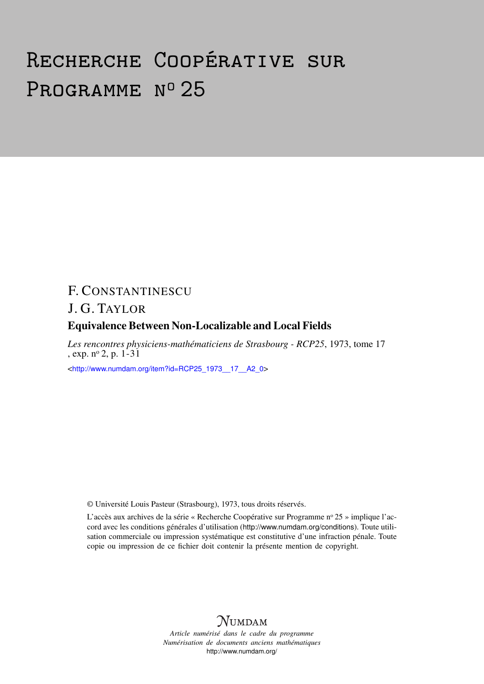# Recherche Coopérative sur PROGRAMME Nº 25

## F. CONSTANTINESCU

## J. G. TAYLOR

### Equivalence Between Non-Localizable and Local Fields

*Les rencontres physiciens-mathématiciens de Strasbourg - RCP25*, 1973, tome 17 , exp.  $n^{\circ}$  2, p.  $1-31$ 

<[http://www.numdam.org/item?id=RCP25\\_1973\\_\\_17\\_\\_A2\\_0](http://www.numdam.org/item?id=RCP25_1973__17__A2_0)>

© Université Louis Pasteur (Strasbourg), 1973, tous droits réservés.

L'accès aux archives de la série « Recherche Coopérative sur Programme n° 25 » implique l'accord avec les conditions générales d'utilisation (<http://www.numdam.org/conditions>). Toute utilisation commerciale ou impression systématique est constitutive d'une infraction pénale. Toute copie ou impression de ce fichier doit contenir la présente mention de copyright.



*Article numérisé dans le cadre du programme Numérisation de documents anciens mathématiques* <http://www.numdam.org/>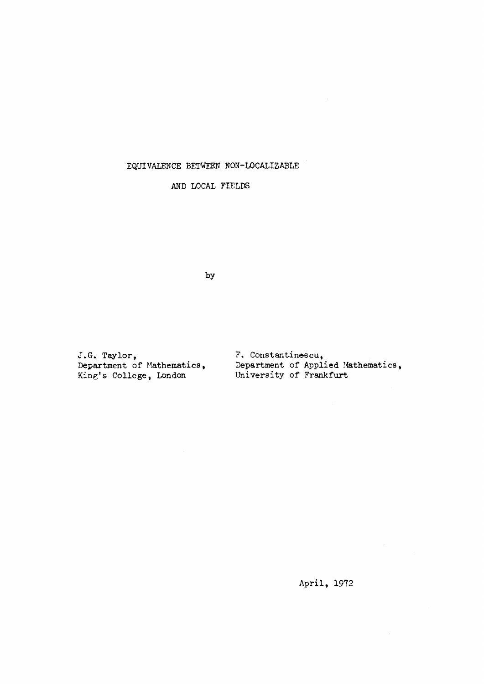#### **EQUIVALENCE BETWEEN NON-LOCALIZABLE**

**AND LOCAL FIELDS** 

**by** 

J.G. Taylor,<br>Department of Mathematics, **King's College, London University of Frankfurt** 

**Department of Mathematics, Department of Applied Mathematics,** 

**April, 1972**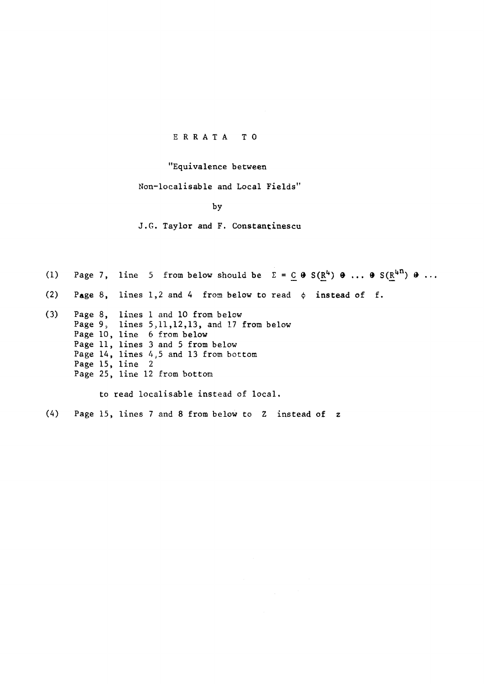#### **ERRAT A TO**

#### **"Equivalence between**

**Non-localisable and Local Fields"** 

**by** 

**J.G. Taylor and F. Constantinescu** 

(1) Page 7, line 5 from below should be  $\Sigma = C \oplus S(R^4) \oplus ... \oplus S(R^{4n}) \oplus ...$ (2) Page 8, lines 1,2 and 4 from below to read  $\phi$  instead of f. **(3) Page 8, lines 1 and 10 from below Page 9, lines 5,11,12,13, and 17 from below Page 10, line 6 from below Page 11, lines 3 and 5 from below Page 14, lines 4;5 and 13 from bottom Page 15, line 2** 

**Page 25, line 12 from bottom** 

**to read localisable instead of local.** 

**(4) Page 15, lines 7 and 8 from below to Z instead of z**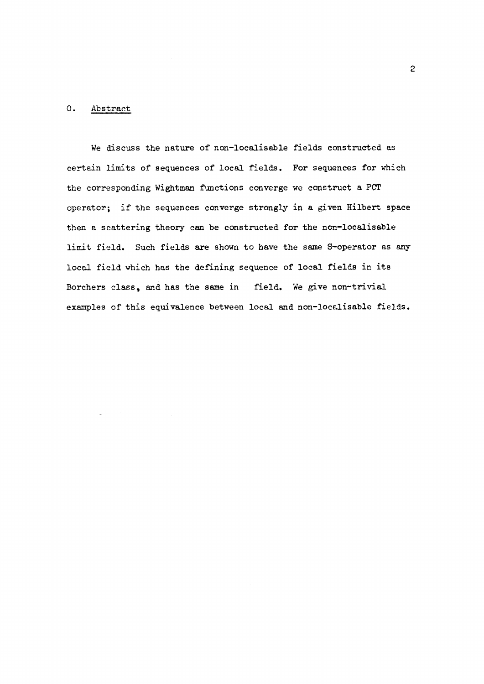#### **0. Abstract**

**We discuss the nature of non-localisable fields constructed as certain limits of sequences of local fields. For sequences for which the corresponding Wightman functions converge we construct a PCT operator; if the sequences converge strongly in a given Hilbert space then a scattering theory can be constructed for the non-localisable limit field. Such fields are shown to have the same S-operator as any local field which has the defining sequence of local fields in its Borchers class% and has the same in field. We give non-trivial examples of this equivalence between local and non-localisable fields.**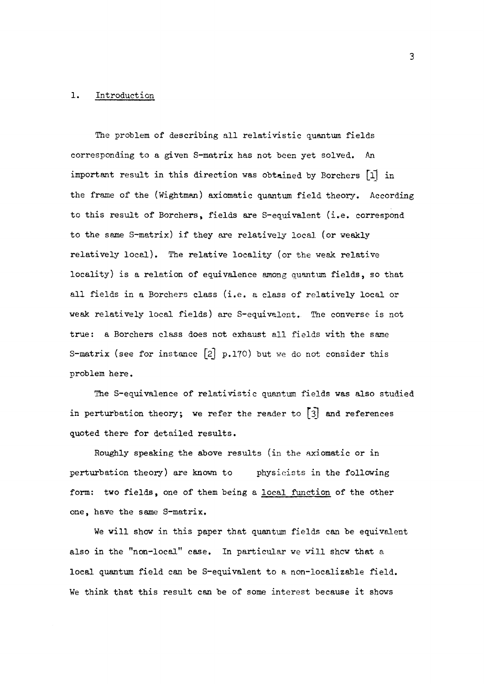#### **1. Introduction**

**The problem of describing all relativistic quantum fields corresponding to a given S-matrix has not been yet solved. An important result in this direction was obtained by Borchers [l| in the frame of the (Wightman) axiomatic quantum field theory. According to this result of Borchers, fields are S-equivalent (i.e. correspond to the same S-matrix) if they are relatively local (or weakly relatively local). The relative locality (or the weak relative locality) is a relation of equivalence among quantum fields, so that all fields in a Borchers class (i.e. a class of relatively local or weak relatively local fields) are S-equivalent. The converse is not true: a Borchers class does not exhaust all fields with the same S-matrix (see for instance [2] p.170) but we do not consider this problem here.** 

**The S-equivalence of relativistic quantum fields was also studied in perturbation theory; we refer the reader to [3] and references quoted there for detailed results.** 

**Roughly speaking the above results (in the axiomatic or in perturbation theory) are known to physicists in the following form: two fields, one of them being a local function of the other one, have the same S-matrix.** 

**We will show in this paper that quantum fields can be equivalent also in the "non-local" case. In particular we will shew that a local quantum field can be S-equivalent to a non-localizable field. We think that this result can be of some interest because it shows**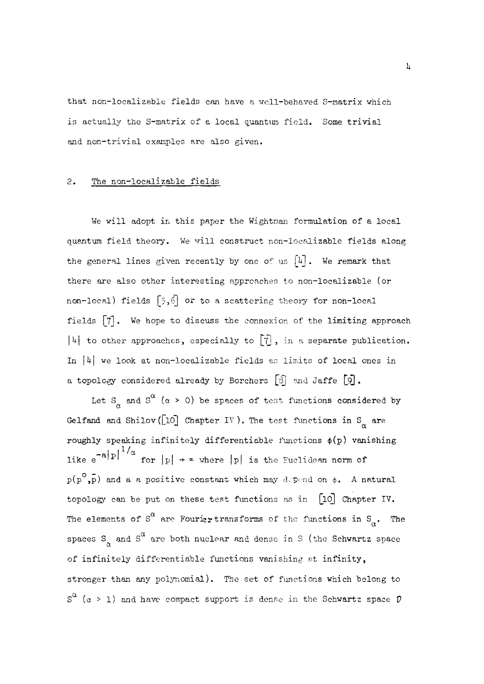that non-localizable fields can have a well-behaved S-matrix which is actually the S-matrix of a local quantum field. Some trivial and non-trivial examples are also given.

#### **2.** The non-localizable fields

We will adopt in this paper the Wightman formulation of a local quantum field theory. We will construct non-localizable fields along the general lines given recently by one of us |*h]* . We remark that there are also other interesting approaches to non-localizable (or non-local) fields **[5,6]** or to a scattering theory for non-local fields **[7]**• We hope to discuss the connexion of the limiting approach *\k\* to other approaches, especially to [TJ *>* in a separate publication. In *\k\* we look at non-localizable fields as limits of local ones in a topology considered already by Borchers **[3j** and Jaffe •

Let  $S_{\alpha}$  and  $S^{\alpha}$  ( $\alpha > 0$ ) be spaces of test functions considered by Gelfand and Shilov  $(10)$  Chapter IV). The test functions in S<sub> $\alpha$ </sub> are roughly speaking infinitely differentiable functions  $\phi(p)$  vanishing like  $e^{-a|p|^{1/a}}$  for  $|p| \rightarrow \infty$  where  $|p|$  is the Euclidean norm of  $p(p^{\circ},\bar{p})$  and a a positive constant which may depend on  $\phi$ . A natural topology can be put on these test functions as in  $[10]$  Chapter IV. The elements of  $S^{\alpha}$  are Fourier transforms of the functions in  $S_{\alpha}$ . The  $T_{\text{max}} \propto \frac{1}{2} \sigma^{\alpha}$  are Fourier transforms of the Solice of the functions in S spaces S<sub>o</sub> and S<sup>"</sup> are both nuclear and dense in S (the Schwartz space a of infinitely differentiable functions vanishing at infinity,  $\frac{1}{2}$ stronger than any polynomial). The set of functions which belong to S a (a > l) and have compact support is dense in the Schwartz space *V*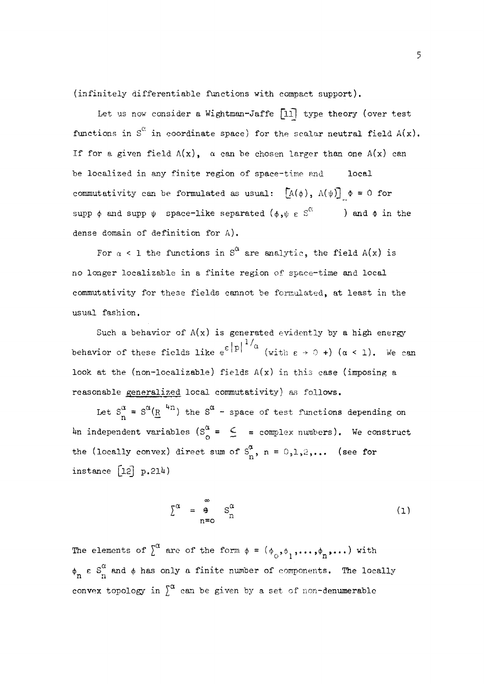(infinitely differentiable functions with compact support).

Let us now consider a Wightman-Jaffe  $[11]$  type theory (over test functions in  $S^{\alpha}$  in coordinate space) for the scalar neutral field  $A(x)$ . If for a given field  $A(x)$ ,  $\alpha$  can be chosen larger than one  $A(x)$  can be localized in any finite region of space-time and local commutativity can be formulated as usual:  $[A(\phi), \Lambda(\psi)] \phi = 0$  for supp  $\phi$  and supp  $\psi$  space-like separated  $(\phi, \psi \in \mathbb{S}^C)$  ) and  $\phi$  in the dense domain of definition for A) .

For  $\alpha$  < 1 the functions in S<sup> $\alpha$ </sup> are analytic, the field A(x) is no longer localizable in a finite region of space-time and local commutativity for these fields cannot be formulated, at least in the usual fashion.

Such a behavior of  $A(x)$  is generated evidently by a high energy  $|p|$ <sup>1/</sup>c  $(\text{with } \varepsilon \rightarrow 0 + \mathbf{)}$  (a look at the (non-localizable) fields  $A(x)$  in this case (imposing a reasonable generalized local commutativity) as follows.

Let  $S_n^{\alpha} = S^{\alpha}(\underline{R}^{-4n})$  the  $S^{\alpha}$  - space of test functions depending on dependent variables  $\begin{bmatrix} 5 \end{bmatrix} = \begin{bmatrix} 5 \end{bmatrix} = \begin{bmatrix} 5 \end{bmatrix}$  complex numbers). We construct the (locally convex) direct sum of  $S^{\alpha}_{n}$ , n = 0,1,2,... (see for instance  $[12]$  p.21<sup>4</sup>)

$$
\Sigma^{\alpha} = \begin{matrix} \omega \\ \theta \\ n = 0 \end{matrix} S_{n}^{\alpha} \tag{1}
$$

The elements of  $\int_{0}^{\alpha}$  are of the form  $\phi = (\phi_0, \phi_1, \ldots, \phi_n, \ldots)$  with  $\overline{a}$  o l<sub>3</sub> n<sup>1</sup> *a*  convex topology in  $\int^u$  can be given by a set of non-denumerable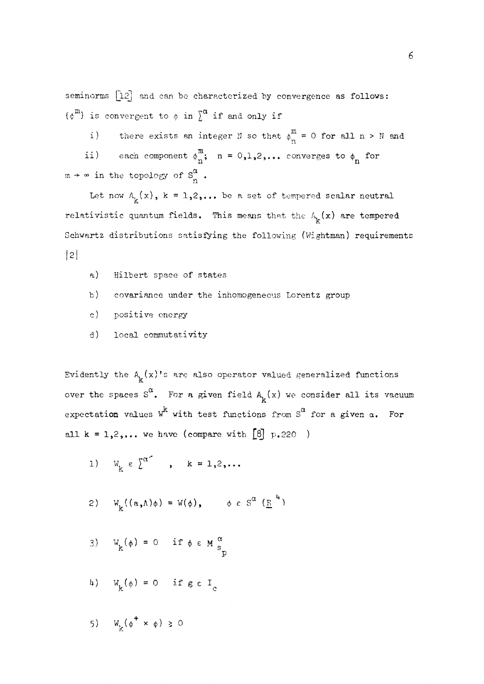seminorms [12] and can be characterized by convergence as follows:  $\{\phi^{m}\}\$ is convergent to  $\phi$  in  $\sum^{\alpha}$  if and only if

i) there exists an integer N so that  $\phi_n^m = 0$  for all n > N and ii) each component  $\phi^m_n$ ; n = 0,1,2,... converges to  $\phi_n$  for  $m \rightarrow \infty$  in the topology of  $S_n^{\alpha}$ .

Let now  $A_k(x)$ ,  $k = 1,2,...$  be a set of tempered scalar neutral relativistic quantum fields. This means that the  $A_{\mu}(x)$  are tempered Schwertz distributions setisfying the following  $(W_1$  chtren) requirement  $\mathbf{S}$ 

- $a)$ Hilbert space of states
- b) covariance under the inhomogeneous Lorentz group
- c) positive energy
- d) local commutativity

Evidently the  $A^{\prime}_{k}(x)$ 's are also operator valued generalized functions over the spaces  $S^{\alpha}$ . For a given field  $A_{\mathbf{k}}(x)$  we consider all its vacuum expectation values  $W^{K}$  with test functions from  $S^{G}$  for a given  $\alpha$ . For all  $k = 1,2,...$  we have (compare with  $[8] p.220$ )

- 1)  $W_{L} \in \int_{0}^{\alpha^{2}}$ ,  $k = 1, 2, ...$
- *2***) W<sub>k</sub><sup>{</sup>(a,A)φ) = W(φ)<sub>s</sub>**  $\psi \in S$  (<u>λ</u>)
- 3)  $W_k(\phi) = 0$  if  $\phi \in M \frac{\alpha}{s_n}$
- *k*)  $W_k(\phi) = 0$  if  $g \in I_c$  $\mathcal{L}$  is a contract of  $\mathcal{L}$
- **5)**  $W_{\nu}(\phi^{+} \times \phi) \ge 0$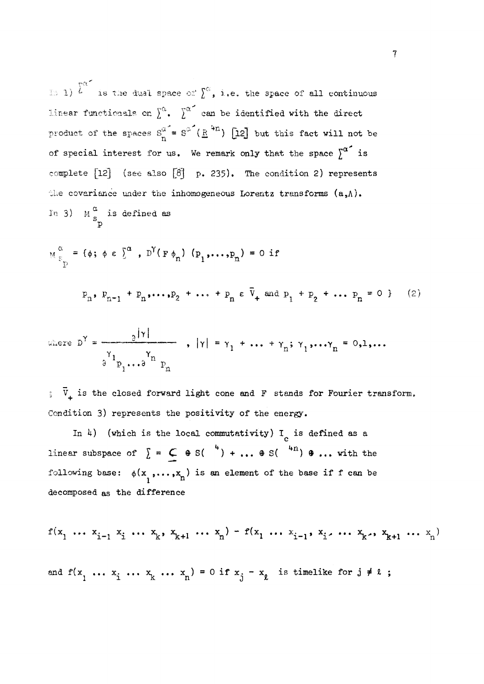10 1) <sup>L</sup> is the dual space of  $\sum$ , i.e. the space of all continuous linear functionals on  $\sum^{\alpha}$ .  $\sum^{\alpha}$  can be identified with the direct product of the spaces  $S_n^{\alpha} = S^{\alpha'}(\underline{R}^{4n})$  [12] but this fact will not be of special interest for us. We remark only that the space  $\int^{\alpha^*}$  is complete [12] (see also [8] p. 235). The condition 2) represents the covariance under the inhomogeneous Lorentz transforms  $(a, \Lambda)$ . In 3)  $M_{S_{n}}^{\infty}$  is defined as

P

$$
M_{\epsilon_p}^{\alpha} = {\phi; \phi \epsilon}^{\alpha}, D^{Y}(\epsilon_{\phi_n}) (\rho_1, ..., \rho_n) = 0 \text{ if}
$$
  

$$
P_n, P_{n-1} + P_n, ..., P_2 + ... + P_n \epsilon \bar{V}_+ \text{ and } P_1 + P_2 + ... + P_n = 0
$$
 (2)

where 
$$
D^{\gamma} = \frac{\partial |\gamma|}{\partial^{\gamma_1} p_1 \cdots \partial^{\gamma_n} p_n}
$$
,  $|\gamma| = \gamma_1 + \cdots + \gamma_n; \gamma_1, \cdots, \gamma_n = 0, 1, \cdots$ 

3 p .\* .a p ; V+ is the closed forward light cone **and** F stands for Fourier transform.

In 4) (which is the local commutativity) I<sub>c</sub> is defined as a In *k)* (which is the local commutativity) **I** is defined as a following base:  $\phi(x_1, \ldots, x_n)$  is an element of the base if f can be decomposed as the difference

$$
f(x_1 \dots x_{i-1} x_i \dots x_k, x_{k+1} \dots x_n) - f(x_1 \dots x_{i-1}, x_i \dots x_k, x_{k+1} \dots x_n)
$$
  
and  $f(x_1 \dots x_i \dots x_k \dots x_n) = 0$  if  $x_j - x_k$  is timelike for  $j \neq k$ ;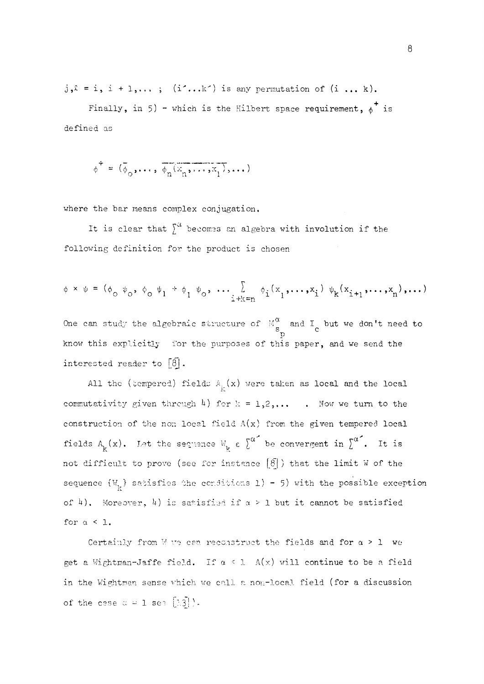$j_{\nu}$  = i, i + 1,...; (i'...k') is any permutation of (i ... k).

Finally, in 5) - which is the Hilbert space requirement,  $\phi^+$  is defined as

 $\phi^+ = (\bar{\phi}_0, \ldots, \bar{\phi}_n(\bar{x}_n, \ldots, \bar{x}_1), \ldots)$ 

where the bar means complex conjugation.

It is clear that  $\int_0^a$  becomes an algebra with involution if the following definition for the product is chosen

$$
\phi \times \psi = (\phi_0 \psi_0, \phi_0 \psi_1 + \phi_1 \psi_0, \dots, \sum_{i+k=n} \phi_i(x_1, \dots, x_i) \psi_k(x_{i+1}, \dots, x_n), \dots)
$$

One can study the algebraic structure of  $\mathbb{M}^{\omega}_{\mathfrak{a}}$  and  $I_{\mathfrak{a}}$  but we don't need to s c know this explicitly for the purposes of this paper, and we send the know this explicitly for the purposes of the purposes of this paper, and we send the purposes of this paper, and we send the purposes of this paper, and we send the purposes of the purposes of the purposes of the purposes

All the (tempered) fields  $A_{ij}(x)$  were taken as local and the local  $A$ l the (tempered) fields  $A$  (x) were taken as local and the local and the local and the local and the local and the local and the local and the local and the local and the local and the local and the local and the loca construction of the non local field  $A(x)$  from the given tempered local fields  $A_k(x)$ . Let the sequence  $W_k \in \int^{\alpha^*}$  be convergent in  $\int^{\alpha^*}$ . It is not difficult to prove (see for instance  $\lbrack \delta \rbrack$ ) that the limit W of the not difficult to prove (see for instance **[8j** ) that the limit W of the sequence {Wv} satisfies the conditions l) - **5)** with the possible exception of *h)%* Moreover, *k)* is satisfied if a > 1 but it cannot be satisfied

Certainly from W we can reconstruct the fields and for  $\alpha > 1$  we get a Wightman-Jaffe field. If  $\alpha < 1$  A(x) will continue to be a field in the Wightman-sense which we call a non-local field (for a discussion in the Wightman sense which we call a non-local field (for a discussion of a discussion of a discussion of a d<br>Consequence which we call a non-local field (for a discussion of a discussion of a discussion of a discussion of the case  $\alpha = 1$  see  $\lfloor 1.3 \rfloor$ .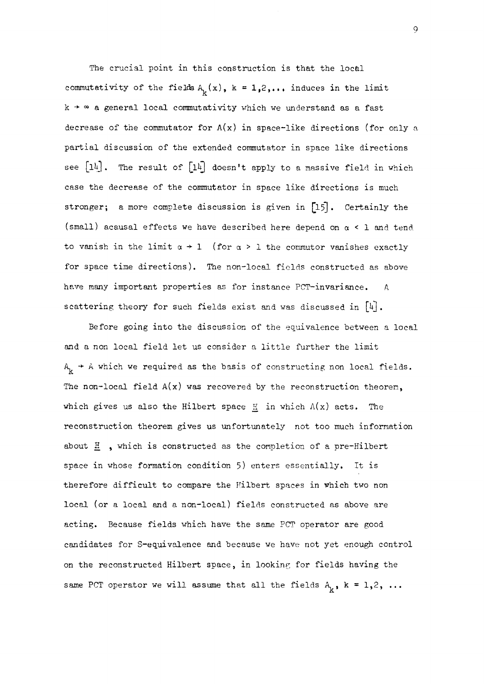The crucial point in this construction is that the local commutativity of the fields  $A_k(x)$ ,  $k = 1,2,...$ , induces in the limit  $k \rightarrow \infty$  a general local commutativity which we understand as a fast decrease of the commutator for  $A(x)$  in space-like directions (for only a partial discussion of the extended commutator in space like directions see *[ih]* . The result of *[ihj* doesn't apply to a massive field in which case the decrease of the commutator in space like directions is much stronger; a more complete discussion is given in **£15]**• Certainly the (small) acausal effects we have described here depend on a < **1** and tend to vanish in the limit  $a \rightarrow 1$  (for  $a > 1$  the commutor vanishes exactly for space time directions). The non-local fields constructed as above have many important properties as for instance PCT-invariance. scattering theory for such fields exist and was discussed in [4].

Before going into the discussion of the equivalence between a local and a non local field let us consider a little further the limit  $A_{k}$  + A which we required as the basis of constructing non local fields. The non-local field  $A(x)$  was recovered by the reconstruction theorem. which gives us also the Hilbert space H in which  $A(x)$  acts. The reconstruction theorem gives us unfortunately not too much information about  $\frac{\pi}{2}$ , which is constructed as the completion of a pre-Hilbert space in whose formation condition **5)** enters essentially. It is therefore difficult to compare the Hilbert spaces in which two non local (or a local and a non-local) fields constructed as above are acting. Because fields which have the same PCT operator are good candidates for S-equivalence and because we have not yet enough control on the reconstructed Hubert space, in looking for fields having the same PCT operator we will assume that all the fields  $A_{\mu}$ ,  $k = 1,2, ...$ 

**9**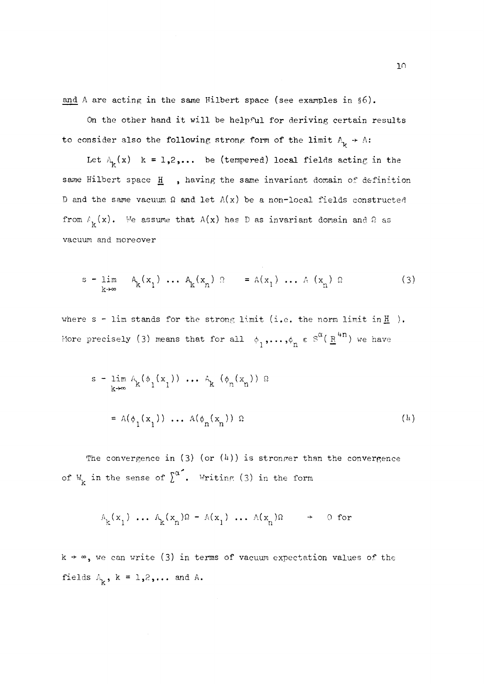and  $\Lambda$  are acting in the same Hilbert space (see examples in §6).

On the other hand it will be helpful for deriving certain results to consider also the following strong form of the limit  $A_{\nu} \rightarrow A$ :

Let  $A_k(x)$  k = 1,2,... be (tempered) local fields acting in the same Hilbert space H , having the same invariant domain of definition D and the same vacuum  $\Omega$  and let  $A(x)$  be a non-local fields constructed from  $f_k(x)$ . We assume that  $A(x)$  has D as invariant domain and  $\Omega$  as vacuum and moreover

$$
s = \lim_{k \to \infty} A_k(x_1) \dots A_k(x_n) \quad s = A(x_1) \dots A(x_n) \quad s \tag{3}
$$

where  $s$  - lim stands for the strong limit (i.e. the norm limit in  $\underline{H}$ ). More precisely (3) means that for all  $\phi_1, \ldots, \phi_n \in S^{\alpha}(\underline{R}^{4n})$  we have

$$
s = \lim_{k \to \infty} A_k(\phi_1(x_1)) \dots A_k(\phi_n(x_n)) \Omega
$$
  
=  $A(\phi_1(x_1)) \dots A(\phi_n(x_n)) \Omega$  (h)

The convergence in (3) (or  $(4)$ ) is stronger than the convergence of W<sub>K</sub> in the sense of  $\int_{0}^{\alpha^{2}}$ . Writing (3) in the form

$$
\mathbb{A}_{k}(x_{1}) \dots \mathbb{A}_{k}(x_{n})\Omega - \mathbb{A}(x_{1}) \dots \mathbb{A}(x_{n})\Omega \rightarrow \text{0 for}
$$

 $k \rightarrow \infty$ , we can write (3) in terms of vacuum expectation values of the fields  $A_k$ ,  $k = 1,2,...$  and A.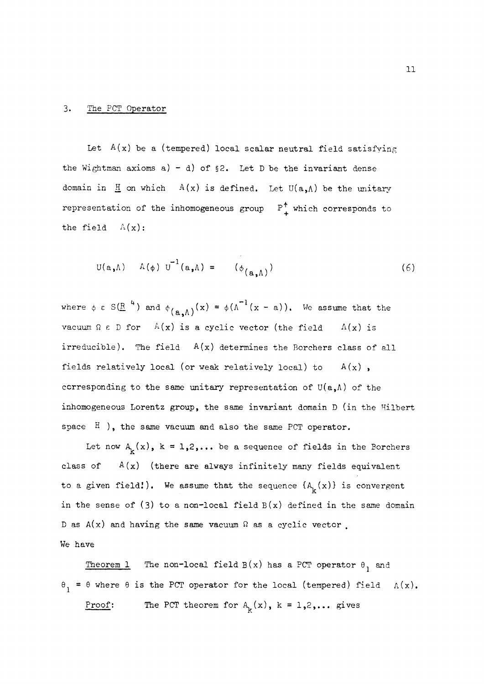#### 3. The PCT Operator

Let  $A(x)$  be a (tempered) local scalar neutral field satisfying the Wightman axioms a) - d) of  $\S2$ . Let D be the invariant dense domain in  $\mathbb{H}$  on which  $A(x)$  is defined. Let  $U(a, \Lambda)$  be the unitary representation of the inhomogeneous group  $P_1^{\uparrow}$  which corresponds to the field  $A(x)$ :

$$
U(a, \Lambda) \quad A(\phi) U^{-1}(a, \Lambda) = (\phi_{(a, \Lambda)})
$$
 (6)

where  $\phi \in S(\mathbb{R}^n)$  and  $\phi_{\ell_{\infty}(\Lambda)}(x) = \phi(\Lambda^{-1}(x - a))$ . We assume that the vacuum  $\Omega \in D$  for  $A(x)$  is a cyclic vector (the field  $A(x)$  is irreducible). The field  $A(x)$  determines the Borchers class of all fields relatively local (or weak relatively local) to  $A(x)$ , corresponding to the same unitary representation of  $U(a, \Lambda)$  of the inhomogeneous Lorentz group, the same invariant domain  $D$  (in the Hilbert space  $H$  ), the same vacuum and also the same PCT operator.

Let now  $A_k(x)$ ,  $k = 1,2,...$  be a sequence of fields in the Borchers class of  $A(x)$  (there are always infinitely many fields equivalent to a given field!). We assume that the sequence  $\{A^{\phantom{k}}_k(x)\}$  is convergent in the sense of (3) to a non-local field  $B(x)$  defined in the same domain D as  $A(x)$  and having the same vacuum  $\Omega$  as a cyclic vector. We have

Theorem 1 The non-local field  $B(x)$  has a PCT operator  $\theta_1$  and  $\theta_1 = \theta$  where  $\theta$  is the PCT operator for the local (tempered) field  $A(x)$ . Proof: The PCT theorem for  $A_k(x)$ , k = 1,2,... gives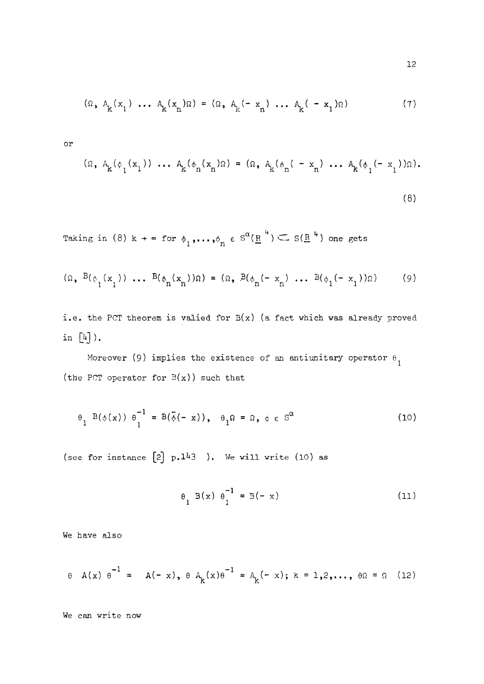$$
(\Omega, A_k(x_1) \dots A_k(x_n)\Omega) = (\Omega, A_k(-x_n) \dots A_k(-x_1)\Omega)
$$
 (7)

or

$$
(\Omega, A_{k}(\phi_{1}(x_{1})) \dots A_{k}(\phi_{n}(x_{n})\Omega) = (\Omega, A_{k}(\phi_{n}(-x_{n}) \dots A_{k}(\phi_{1}(-x_{1}))\Omega).
$$
\n(8)

Taking in (8)  $k \rightarrow \infty$  for  $\phi_1, \ldots, \phi_n$   $\epsilon$  S (<u>R</u> )  $\leftarrow$  S(<u>R</u> ) one gets

$$
(\Omega, B(\phi_1(x_1)) \dots B(\phi_n(x_n))\Omega) = (\Omega, B(\phi_n(-x_n) \dots B(\phi_1(-x_1))\Omega) \tag{9}
$$

i.e. the PCT theorem is valied for  $B(x)$  (a fact which was already proved in  $\left[\frac{1}{4}\right]$ .

Moreover (9) implies the existence of an antiunitary operator  $\theta_1$ (the PCT operator for  $B(x)$ ) such that

$$
\theta_{1} \quad B(\phi(x)) \quad \theta_{1}^{-1} = B(\bar{\phi}(-x)), \quad \theta_{1}\Omega = \Omega, \phi \in S^{\alpha}
$$
 (10)

(see for instance  $[2]$  p.143 ). We will write (10) as

$$
\theta_{1} B(x) \theta_{1}^{-1} = B(-x)
$$
 (11)

We have also

$$
\theta
$$
 A(x)  $\theta^{-1}$  = A(-x),  $\theta$  A<sub>k</sub>(x) $\theta^{-1}$  = A<sub>k</sub>(-x); k = 1,2,...,  $\theta \Omega$  =  $\Omega$  (12)

We can write now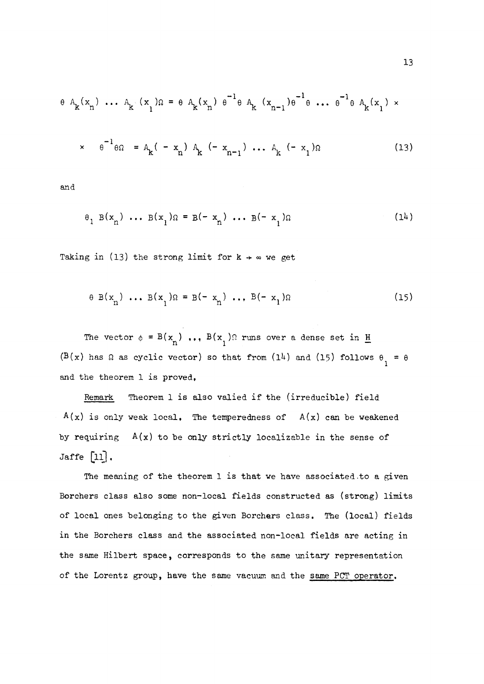$$
\theta A_{k}(x_{n}) \cdots A_{k}(x_{1})\Omega = \theta A_{k}(x_{n}) \theta^{-1} \theta A_{k}(x_{n-1})\theta^{-1} \theta \cdots \theta^{-1} \theta A_{k}(x_{1}) \times
$$
  

$$
\times \theta^{-1} \theta \Omega = A_{k}(-x_{n}) A_{k}(-x_{n-1}) \cdots A_{k}(-x_{1})\Omega
$$
 (13)

**and** 

$$
\theta_1 B(x_n) \dots B(x_1) \Omega = B(-x_n) \dots B(-x_1) \Omega
$$
 (14)

**i n** 1 **n** 1

$$
\theta B(x_n) \dots B(x_1) \Omega = B(-x_n) \dots B(-x_1) \Omega
$$
 (15)

The vector  $\phi = B(x_n) \dots B(x_1)$ ? runs over a dense set in <u>H</u> **n 1 — (B(x) has fi as cyclic vector) so that from (lU) and** (15) **follows** 6 = 9

 $A(x)$  is only weak local. The temperedness of  $A(x)$  can be weakened **A(x) is only weak local• The temperedness of A(x) can be weakened by requiring A(x) to be only strictly localizable in the sense of** 

The meaning of the theorem 1 is that we have associated to a given Borchers class also some non-local fields constructed as (strong) limits of local ones belonging to the given Borchers class. The (local) fields **of local ones belonging to the given Borchars class. The (local) fields**  the same Hilbert space, corresponds to the same unitary representation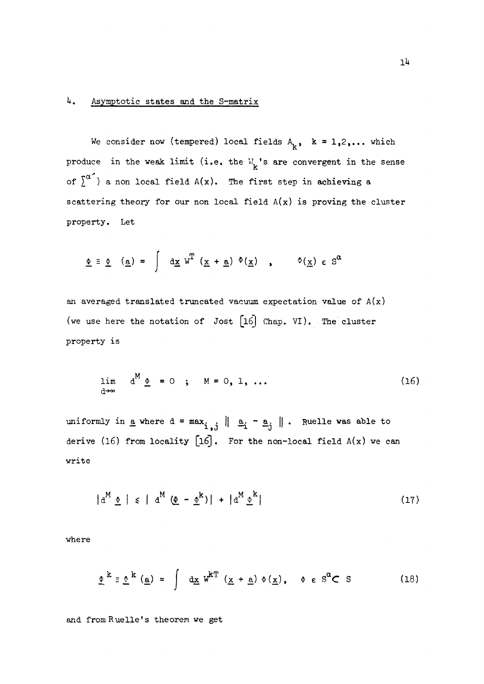#### **U. Asymptotic states and the S-matrix**

We consider now (tempered) local fields  $A_k$ ,  $k = 1,2,...$  which produce in the weak limit (i.e. the  $W_{\mathbf{k}}$ 's are convergent in the sense of  $\int_a^a$  ) a non local field  $A(x)$ . The first step in achieving a **scattering theory for our non local field A(x) is proving the cluster property. Let** 

$$
\underline{\Phi} \equiv \underline{\Phi} \quad (\underline{\mathbf{a}}) = \int d\underline{\mathbf{x}} \, \mathbf{w}^{\mathrm{T}} \, (\underline{\mathbf{x}} + \underline{\mathbf{a}}) \, \Phi(\underline{\mathbf{x}}) \quad , \qquad \Phi(\underline{\mathbf{x}}) \in \mathbb{S}^{\alpha}
$$

**an averaged translated truncated vacuum expectation value of A(x) (we use here the notation of Jost [l6| Chap. VI). . The cluster property is** 

$$
\lim_{d\to\infty} d^M \underline{\Phi} = 0 \quad ; \quad M = 0, 1, ... \tag{16}
$$

uniformly in <u>a</u> where  $d = max_i$   $|| a_i - a_j ||$ . Ruelle was able to **derive (16) from locality [l6]. For the non-local field A(x) we can write** 

$$
|d^M \underline{\Phi}| \leq |d^M (\underline{\Phi} - \underline{\Phi}^k)| + |d^M \underline{\Phi}^k|
$$
 (17)

**where** 

$$
\underline{\phi}^{k} \equiv \underline{\phi}^{k} (\underline{a}) = \int dx W^{k} (\underline{x} + \underline{a}) \phi (\underline{x}), \quad \phi \in S^{\alpha} \subset S
$$
 (18)

**and fromRuelle's theorem we get**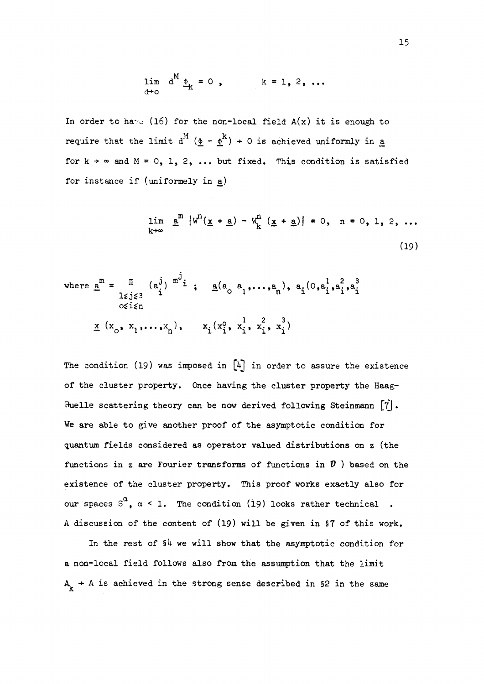$$
\lim_{\mathrm{d}\rightarrow\mathrm{o}}\ \mathrm{d}^M\underline{\Phi}_k=0\ ,\qquad k=1,2,\ldots
$$

In order to have (16) for the non-local field  $A(x)$  it is enough to require that the limit  $d^{M}$  ( $\underline{\Phi} - \underline{\Phi}^{k}$ )  $\rightarrow$  0 is achieved uniformly in <u>a</u> for  $k \rightarrow \infty$  and  $M = 0$ , 1, 2, ... but fixed. This condition is satisfied for instance if (uniformely in a)

$$
\lim_{k \to \infty} \frac{a^m}{m} |w^n(\underline{x} + \underline{a}) - w_k^n(\underline{x} + \underline{a})| = 0, \quad n = 0, 1, 2, ...
$$
\n(19)

where 
$$
\underline{a}^{m} = \prod_{\substack{1 \leq j \leq 3 \\ 0 \leq i \leq n}} (a_{j}^{j})^{m^{j}} i
$$
;  $\underline{a}(a_{0} a_{1},..., a_{n}), a_{i} (0, a_{i}^{1}, a_{i}^{2}, a_{i}^{3})$   
 $\underline{x} (x_{0}, x_{1},..., x_{n}), x_{i} (x_{i}^{0}, x_{i}^{1}, x_{i}^{2}, x_{i}^{3})$ 

The condition (19) was imposed in [4] in order to assure the existence **of the cluster property. Once having the cluster property the Haag-Buelle scattering theory can be now derived following Steinmann [7] • We are able to give another proof of the asymptotic condition for quantum fields considered as operator valued distributions on z (the functions in z are Fourier transforms of functions in P ) based on the existence of the cluster property. This proof works exactly also for our spaces S<sup>a</sup> <sup>5</sup> a < 1. The condition (19) looks rather technical A discussion of the content of (19) will be given in §7 of this work.** 

In the rest of  $$^{\text{4}}$  we will show that the asymptotic condition for **a non-local field follows also from the assumption that the limit**   $A_{\rm k}$   $\rightarrow$  A is achieved in the strong sense described in §2 in the same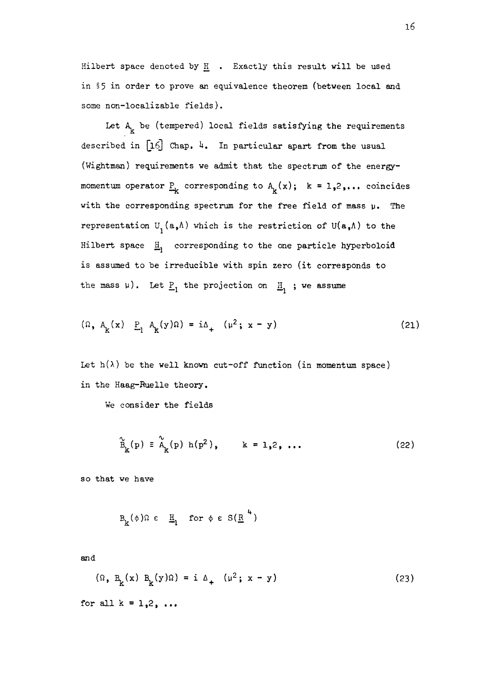**Hilbert space denoted by H • Exactly this result will be used in** §5 **in order to prove an equivalence theorem (between local and some non-localizable fields).** 

Let  $A_k$  be (tempered) local fields satisfying the requirements described in  $[16]$  Chap. 4. In particular apart from the usual **(Wightman) requirements we admit that the spectrum of the energy**momentum operator  $\underline{P}_k$  corresponding to  $A_k(x)$ ;  $k = 1,2,...$  coincides **with the corresponding spectrum for the free field of mass p. The**  representation  $U^{\dagger}$  (a,A) which is the restriction of  $U(a, A)$  to the Hilbert space  $\mathbf{H}_1$  corresponding to the one particle hyperboloid **is assumed to be irreducible with spin zero (it corresponds to**  the mass  $\mu$ ). Let  $\underline{P}_1$  the projection on  $\underline{H}_1$ ; we assume

$$
(\Omega, A_k(x)) \quad \underline{P}_1 \quad A_k(y)\Omega = i\Delta_+ \quad (\mu^2; x - y) \tag{21}
$$

Let  $h(\lambda)$  be the well known cut-off function (in momentum space) **in the Haag-Ruelle theory.** 

**We consider the fields** 

$$
\widetilde{B}_{k}(p) = \widetilde{A}_{k}(p) h(p^{2}), \qquad k = 1, 2, ... \qquad (22)
$$

**so that we have** 

$$
B_k(\phi)\Omega \in \underline{H}_1 \text{ for } \phi \in S(\underline{R}^4)
$$

**and** 

$$
(\Omega, B_k(x) B_k(y)\Omega) = i \Delta_+ (u^2; x - y)
$$
 (23)

**for all k = 1,2, .. .**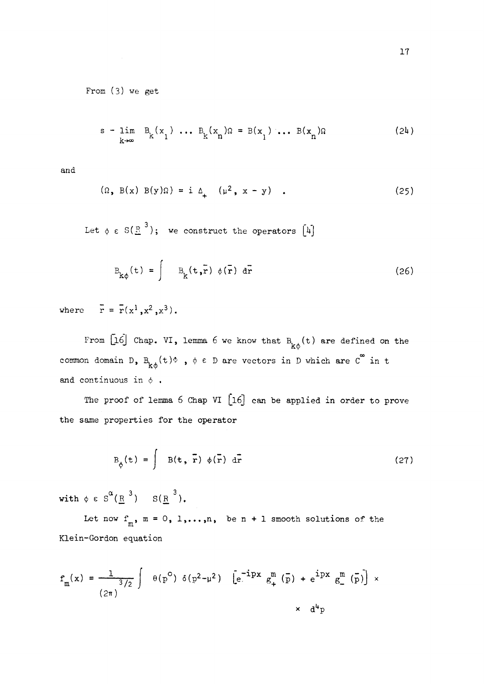From (3) we get

$$
s - \lim_{k \to \infty} B_k(x_1) \dots B_k(x_n) \Omega = B(x_1) \dots B(x_n) \Omega
$$
 (24)

and

$$
(\Omega, B(x) B(y)\Omega) = i \Delta_+ (u^2, x - y) . \qquad (25)
$$

Let  $\phi \in S(\mathbb{R}^3)$ ; we construct the operators  $[4]$ 

$$
B_{k\phi}(t) = \int B_k(t,\vec{r}) \phi(\vec{r}) d\vec{r}
$$
 (26)

where  $r = r(x^1, x^2, x^3)$ .

From  $\left[\begin{smallmatrix} 16 \end{smallmatrix}\right]$  Chap. VI, lemma 6 we know that  $B_{k\phi}(t)$  are defined on the common domain D,  $B_{k\phi}^{\dagger}(t)\Phi$ ,  $\phi \in D$  are vectors in D which are  $C^{8}$  in t and continuous in  $\phi$ .

The proof of lemma **6** Chap VI **[l6]** can be applied in order to prove the same properties for the operator

$$
B_{\phi}(t) = \int B(t, \bar{r}) \phi(\bar{r}) d\bar{r}
$$
 (27)

with  $\phi \in S^{\bullet}(\underline{R}^{\circ}) = S(\underline{R}^{\circ}).$ 

Let now  $f_m$ ,  $m = 0$ ,  $1,...,n$ , be  $n + 1$  smooth solutions of the m Klein-Gordon equation

$$
f_m(x) = \frac{1}{(2\pi)} \int \theta(p^0) \delta(p^2 - \mu^2) \left[ e^{-ipx} g_+^m(\bar{p}) + e^{ipx} g_-^m(\bar{p}) \right] \times
$$
  

$$
\times d^4p
$$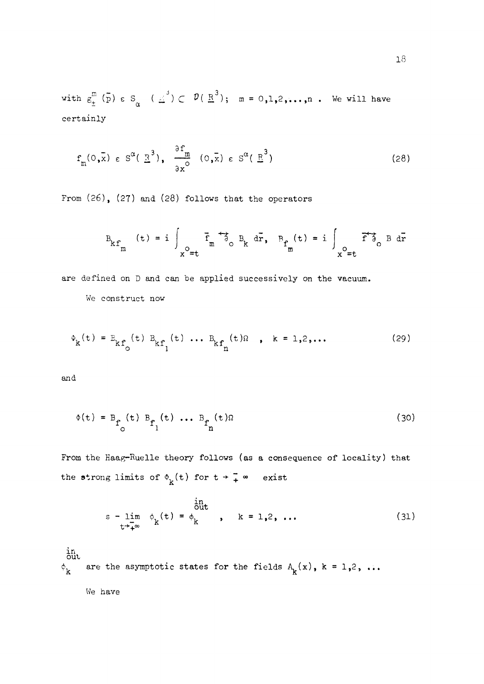with  $g_{\pm}^{m}$  (p)  $\epsilon$  S<sub> $\alpha$ </sub> ( $\pm$ <sup>3</sup>)  $\subset$   $\mathcal{P}(\pm^{3})$ ; m = 0,1,2,...,n. We will have certainly

$$
f_m(0,\bar{x}) \in S^{\alpha}(\bar{R}^3), \quad \frac{\partial f_m}{\partial x^0} (0,\bar{x}) \in S^{\alpha}(\bar{R}^3)
$$
 (28)

From **(26), (27)** and **(28)** follows that the operators

$$
B_{kf_m} (t) = i \int_{x^0 = t} \overline{f}_m \overline{\partial}_{0} B_k d\overline{r}, B_{f_m} (t) = i \int_{x^0 = t} \overline{f} \overline{\partial}_{0} B d\overline{r}
$$

are defined on D and can be applied successively on the vacuum.

We construct now

$$
\Phi_{k}(t) = E_{kf_{0}}(t) B_{kf_{1}}(t) \dots B_{kf_{n}}(t) \Omega, \quad k = 1, 2, \dots
$$
 (29)

and

$$
\Phi(t) = B_{f_0}(t) B_{f_1}(t) \dots B_{f_n}(t) \tag{30}
$$

From the Haag-Ruelle theory follows (as a consequence of locality) that the strong limits of  $\Phi_k(t)$  for  $t \rightarrow -\infty$  exist

$$
s - \lim_{t \to \infty} \phi_k(t) = \phi_k, \quad k = 1, 2, \dots
$$
 (31)

in<br>out  $\phi_k$  are the asymptotic states for the fields  $A_k(x)$ , k = 1,2, ...

We have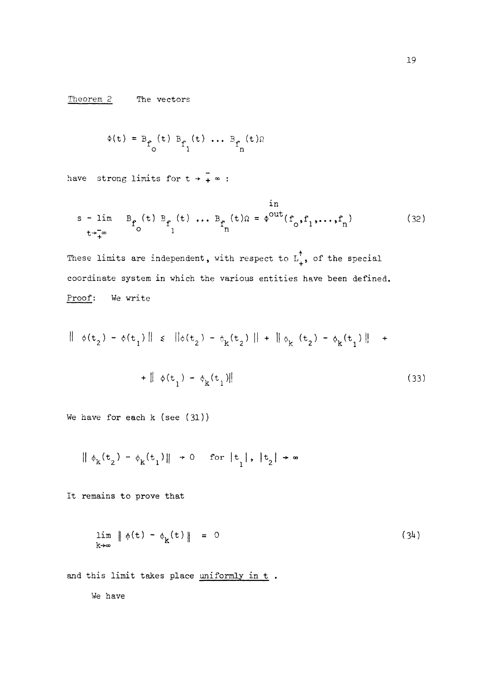Theorem 2 The vectors

$$
\Phi(t) = B_{\mathbf{f}_0}(t) B_{\mathbf{f}_1}(t) \dots B_{\mathbf{f}_n}(t) \Omega
$$

have strong limits for  $t + \frac{1}{t} \infty$  :

$$
\begin{array}{cc}\n\text{in} \\
\text{s - lim} & B_f(t) B_f(t) \dots B_f(t) = \phi^{out}(f_0, f_1, \dots, f_n)\n\end{array} \tag{32}
$$

These limits are independent, with respect to  $L^{\uparrow}_{+}$ , of the special coordinate system in which the various entities have been defined.  $C_1$  coordinate system in which the various entities  $\mathcal{L}_1$  and  $\mathcal{L}_2$  is the various entities have been defined.

$$
\|\phi(t_2) - \phi(t_1)\| \le \|\phi(t_2) - \phi_k(t_2)\| + \|\phi_k(t_2) - \phi_k(t_1)\| + \|\phi(t_1) - \phi_k(t_1)\|
$$
\n(33)

**We have for each k (see (31))** 

$$
\|\phi_{k}(t_{2}) - \phi_{k}(t_{1})\| \to 0 \quad \text{for } |t_{1}|, |t_{2}| \to \infty
$$

**It remains to prove that** 

$$
\lim_{k \to \infty} \|\phi(t) - \phi_k(t)\| = 0 \tag{34}
$$

and this limit takes place uniformly in t.

We have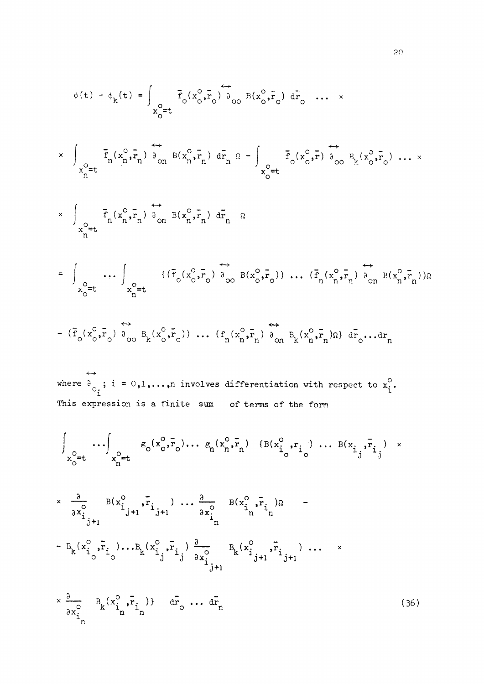$$
\epsilon(t) - \phi_{k}(t) = \int_{x_{0}^{0} = t} \bar{f}_{0}(x_{0}^{0}, \bar{r}_{0}) \bar{a}_{00} \pi(x_{0}^{0}, \bar{r}_{0}) d\bar{r}_{0} \dots x
$$
  
\n
$$
\times \int_{x_{0}^{0} = t} \bar{f}_{n}(x_{0}^{0}, \bar{r}_{n}) \frac{1}{\phi_{0n}} B(x_{n}^{0}, \bar{r}_{n}) d\bar{r}_{n} \pi - \int_{x_{0}^{0} = t} \bar{f}_{0}(x_{0}^{0}, \bar{r}_{0}) \frac{1}{\phi_{00}} \frac{1}{2}(x_{0}^{0}, \bar{r}_{0}) \dots x
$$
  
\n
$$
\times \int_{x_{0}^{0} = t} \bar{f}_{n}(x_{0}^{0}, \bar{r}_{n}) \frac{1}{\phi_{0n}} B(x_{0}^{0}, \bar{r}_{n}) d\bar{r}_{n} \pi
$$
  
\n
$$
= \int_{x_{0}^{0} = t} \dots \int_{x_{0}^{0} = t} \{(\bar{f}_{0}(x_{0}^{0}, \bar{r}_{0}) \bar{a}_{00} B(x_{0}^{0}, \bar{r}_{0})) \dots (\bar{f}_{n}(x_{n}^{0}, \bar{r}_{n}) \bar{a}_{00} B(x_{n}^{0}, \bar{r}_{n})) \pi
$$
  
\n
$$
= (\bar{f}_{0}(x_{0}^{0}, \bar{r}_{0}) \bar{a}_{00} B_{k}(x_{0}^{0}, \bar{r}_{0})) \dots (\epsilon_{n}(x_{n}^{0}, \bar{r}_{n}) \bar{a}_{0n} B_{k}(x_{n}^{0}, \bar{r}_{n}) \pi) d\bar{r}_{0} \dots dx_{n}
$$
  
\n
$$
= \frac{1}{\pi_{0}} \{(\bar{f}_{0}(x_{0}^{0}, \bar{r}_{0})) \frac{1}{\pi_{0}} \pi_{0}(x_{0}^{0}, \bar{r}_{0}) \dots (\epsilon_{n}(x_{n}^{0}, \bar{r}_{n}) \frac{1}{\sigma_{0n}} B_{k}(x_{n}^{0}, \bar{r}_{n}) \pi) d\bar{r}_{0} \dots dx_{n}
$$
  
\n
$$
= (\bar{f}_{0}(x_{0}^{0}, \bar{r}_{0})) \frac{1}{\pi_{0
$$

20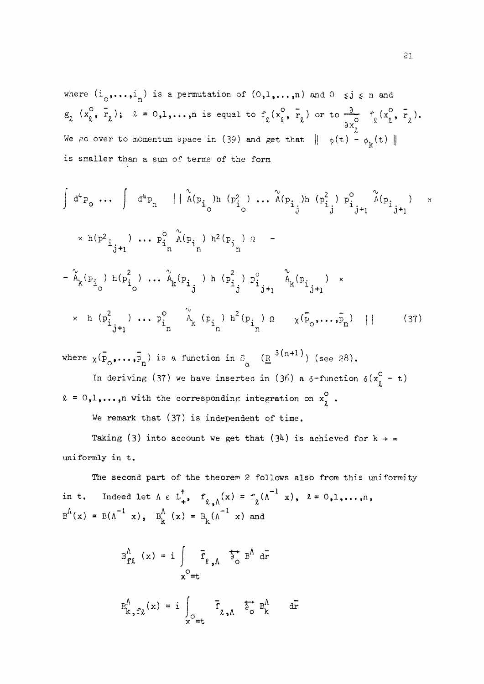where  $(i_0, \ldots, i_n)$  is a permutation of  $(0,1,\ldots,n)$  and  $0 \le j \le n$  and  $E_{\ell}$   $(x_{\ell}^{\circ}, r_{\ell})$ ;  $\ell = 0,1,...,n$  is equal to  $f_{\ell}(x_{\ell}^{\circ}, r_{\ell})$  or to  $\frac{\partial}{\partial x_{\ell}^{\circ}} f_{\ell}(x_{\ell}^{\circ}, r_{\ell}).$ We go over to momentum space in (39) and get that  $|| \phi(t) - \phi_k(t)||$ is smaller than a sum of terms of the form

$$
\int d^{4}p_{o} \cdots \int d^{4}p_{n} \mid \mid \hat{A}(p_{i}^{(n)}) h(p_{i}^{(n)}) \cdots \hat{A}(p_{i}^{(n)}) h(p_{i}^{(n)}) p_{i}^{(n)} p_{i}^{(n)} p_{i}^{(n)}
$$
\n
$$
\times h(p_{i}^{2} \cdots) \cdots p_{i}^{o} \hat{A}(p_{i}^{(n)}) h^{2}(p_{i}^{(n)}) q - \frac{\hat{A}}{h}(p_{i}^{(n)}) h(p_{i}^{(n)}) p_{i}^{(n)} p_{i}^{(n)}
$$
\n
$$
- \hat{A}_{k}(p_{i}^{(n)}) h(p_{i}^{(n)}) \cdots \hat{A}_{k}(p_{i}^{(n)}) h(p_{i}^{(n)}) p_{i}^{(n)} p_{i}^{(n)} p_{i}^{(n)}
$$
\n
$$
\times h(p_{i}^{2} \cdots) \cdots p_{i}^{o} \hat{A}_{k}(p_{i}^{(n)}) h^{2}(p_{i}^{(n)}) q \times p_{i}^{(n)} p_{i}^{(n)}
$$
\n
$$
\times h(p_{i}^{2} \cdots) \cdots p_{i}^{o} \hat{A}_{k}(p_{i}^{(n)}) h^{2}(p_{i}^{(n)}) q \times p_{i}^{(n)} p_{i}^{(n)}
$$
\n
$$
(37)
$$

where  $\chi(\bar{p}_s, \ldots, \bar{p}_r)$  is a function in  $S = (\underline{R}^{-3(n+1)})$  (see 28).  $\sigma$ <sup>o</sup>  $\mu$ ,  $\mu$  a  $\alpha$  + uncerton in  $\alpha$ In deriving (37) we have inserted in (36) a  $\delta$ -function  $\delta(x_{\ell}^{\circ} - t)$ 

 $\ell = 0,1,...,n$  with the corresponding integration on  $x_{\ell}^{\circ}$ .

We remark that **(37)** is independent of time.

Taking (3) into account we get that (3<sup>4</sup>) is achieved for  $k \rightarrow \infty$ uniformly in t.

The second part of the theorem **2** follows also from this uniformity in t. Indeed let  $\Lambda \in L^{\uparrow}_{+}$ ,  $f^{\Lambda}_{\ell,\Lambda}(x) = f^{\Lambda}_{\ell}(\Lambda^{-1}x)$ ,  $\ell = 0,1,...,n$ ,  $B^{A}(x) = B(\Lambda^{-1} | x)$ ,  $B^{A}_{k}(x) = B_{k}(\Lambda^{-1} | x)$  and

$$
B_{f\ell}^{\Lambda} (x) = i \int_{x^{\circ}=t} \vec{f}_{\ell,\Lambda} \stackrel{\leftrightarrow}{\circ} B^{\Lambda} d\vec{r}
$$
  

$$
B_{k,\text{f}\ell}^{\Lambda}(x) = i \int_{x^{\circ}=t} \vec{f}_{\ell,\Lambda} \stackrel{\leftrightarrow}{\circ} B_{k}^{\Lambda} d\vec{r}
$$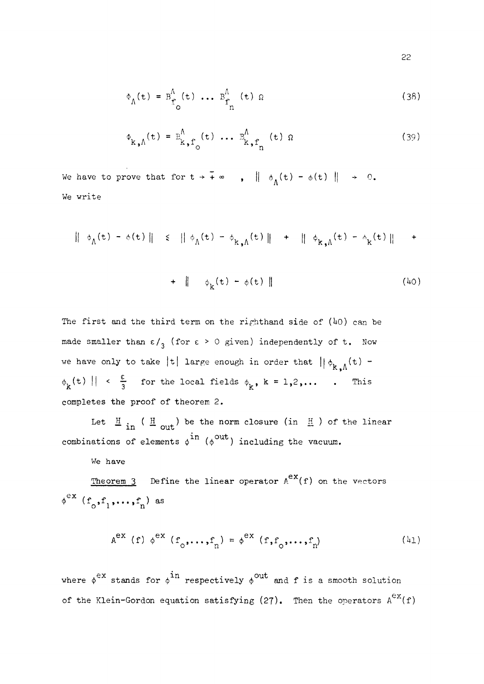$$
\Phi_{\Lambda}(\mathbf{t}) = \mathbf{B}_{\mathbf{f}_{\mathbf{O}}}^{\Lambda}(\mathbf{t}) \cdots \mathbf{B}_{\mathbf{f}_{\mathbf{n}}}^{\Lambda}(\mathbf{t}) \mathbf{\Omega}
$$
 (38)

$$
\Phi_{k,\Lambda}(t) = B_{k,\Gamma_0}^{\Lambda}(t) \cdots B_{k,\Gamma_n}^{\Lambda}(t) \Omega
$$
 (39)

We have to prove that for  $t \to \tilde{+} \infty$ ,  $\|\phi_{\Lambda}(t) - \phi(t) \| \to 0$ . We write

$$
\|\phi_{\Lambda}(t) - \phi(t)\| \leq \|\phi_{\Lambda}(t) - \phi_{k,\Lambda}(t)\| + \|\phi_{k,\Lambda}(t) - \phi_{k}(t)\| +
$$

**+**  $\| \phi_k(t) - \phi(t) \|$  (40)

The first and the third term on the righthand side of (40) can be made smaller than  $\varepsilon /_{3}$  (for  $\varepsilon > 0$  given) independently of t. Now we have only to take |t| large enough in order that  $||\phi_{k,n}(t) \phi_{k}$ <sup>(t)</sup>  $\|\cdot\| \leq \frac{\varepsilon}{3}$  for the local fields  $\phi_{k}$ , k = 1,2,....... This completes the proof of theorem **2.** 

Let  $\frac{H}{m}$  ( $\frac{H}{m}$  ) be the norm closure (in  $\frac{H}{m}$  ) of the linear combinations of elements  $\phi^{11}$  ( $\phi^{000}$ ) including the vacuum.

We have

Theorem 3 Define the linear operator  $A^{ex}(f)$  on the vectors  $\phi^{\text{ex}}$  (f<sub>o</sub>, f<sub>1</sub>, ..., f<sub>n</sub>) as  **(fo,flf...,fn) as** 

$$
Aex (f) \phiex (fo,...,fn) = \phiex (f, fo,...,fn)
$$
 (41)

where  $\phi^{ex}$  stands for  $\phi^{in}$  respectively  $\phi^{out}$  and f is a smooth solution of the Klein-Gordon equation satisfying (27). Then the operators  $A^{\mathrm{ex}}(f)$ 

**22**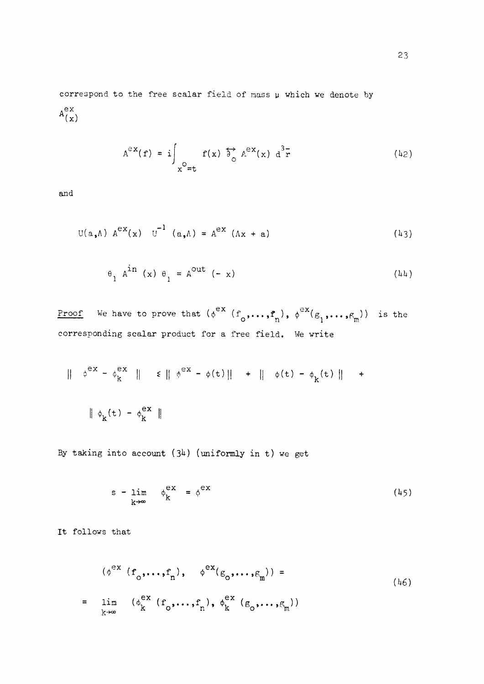correspond to the free scalar field of mass y which we denote by .ex  $(x)$ 

$$
A^{\partial X}(f) = i \int_{X^0 = t} f(x) \overrightarrow{\partial}^A_{\circ} A^{\partial X}(x) d^3 \overrightarrow{r}
$$
 (42)

and

$$
U(a, \Lambda) A^{ex}(x) U^{-1} (a, \Lambda) = A^{ex} (\Lambda x + a)
$$
 (43)

$$
\Theta_1 A^{\text{in}}(x) \Theta_1 = A^{\text{out}}(-x) \tag{44}
$$

<u>Proof</u> We have to prove that  $(\phi^{ex} (f_0, \ldots, f_n), \phi^{ex}(g_1, \ldots, g_m))$  is the r product for a free field. We write corresponding scalar product for a free field. We write

$$
\|\phi^{ex} - \phi^{ex}_{k}\| \le \|\phi^{ex} - \phi(t)\| + \|\phi(t) - \phi_{k}(t)\| +
$$
  

$$
\|\phi_{k}(t) - \phi^{ex}_{k}\|
$$

By taking into account  $(34)$  (uniformly in t) we get

$$
s - \lim_{k \to \infty} \phi_k^{ex} = \phi^{ex} \tag{45}
$$

It follows that

$$
(\phi^{\text{ex}}(f_0, \dots, f_n), \phi^{\text{ex}}(g_0, \dots, g_m)) =
$$
  
= 
$$
\lim_{k \to \infty} (\phi_k^{\text{ex}}(f_0, \dots, f_n), \phi_k^{\text{ex}}(g_0, \dots, g_m))
$$
 (46)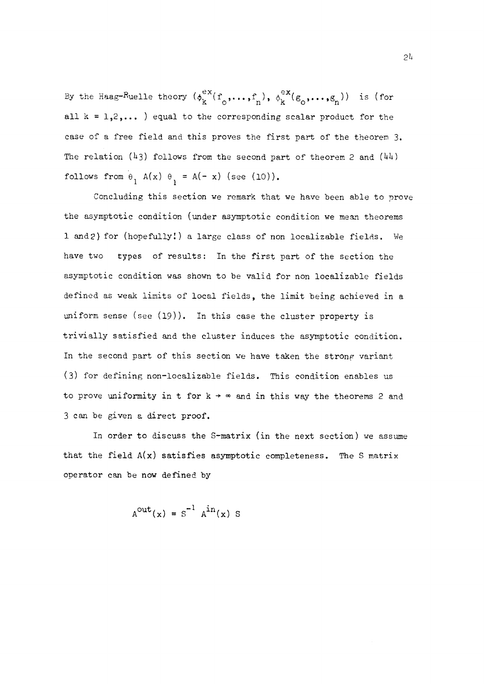By the Haag-Ruelle theory  $(\phi_k^{ex}(f_0, \ldots, f_n), \phi_k^{ex}(g_0, \ldots, g_n))$  is (for all  $k = 1,2,...$  ) equal to the corresponding scalar product for the case of a free field and this proves the first part of the theorem 3. The relation (43) follows from the second part of theorem 2 and (44) follows from  $\theta_1$  A(x)  $\theta_1$  = A(- x) (see (10)).

Concluding this section we remark that we have been able to prove the asymptotic condition (under asymptotic condition we mean theorems 1 and2) for (hopefully!) a large class of non localizable fields. We have two types of results: In the first part of the section the asymptotic condition was shown to be valid for non localizable fields defined as weak limits of local fields, the limit being achieved in a uniform sense (see (19)). In this case the cluster property is trivially satisfied and the cluster induces the asymptotic condition. In the second part of this section we have taken the strong variant (3) for defining non-localizable fields. This condition enables us to prove uniformity in t for  $k \rightarrow \infty$  and in this way the theorems 2 and 3 can be given a direct proof.

In order to discuss the S-matrix (in the next section) we assume that the field  $A(x)$  satisfies asymptotic completeness. The S matrix operator can be now defined by

$$
A^{out}(x) = S^{-1} A^{in}(x) S
$$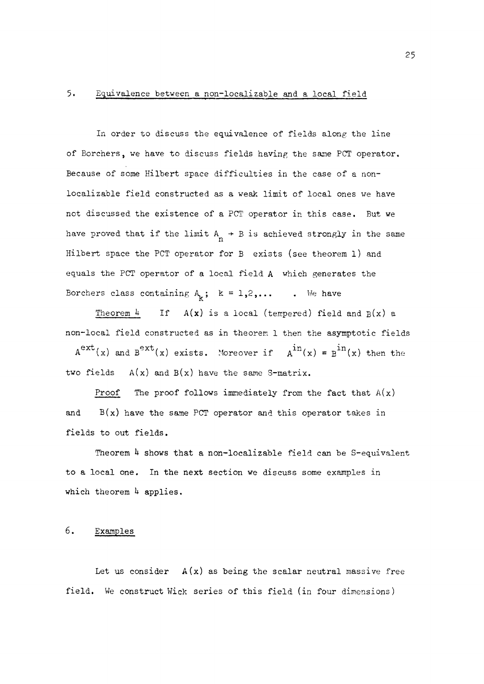#### 5. Equivalence between a non-localizable and a local field

In order to discuss the equivalence of fields along the line of Borchers, we have to discuss fields having the same PCT operator. Because of some Hilbert space difficulties in the case of a nonlocalizable field constructed as a weak limit of local ones we have not discussed the existence of a PCT operator in this case. But we have proved that if the limit  $A_{n} \rightarrow B$  is achieved strongly in the same Hilbert space the PCT operator for B exists (see theorem l) and equals the PCT operator of a local field A which generates the Borchers class containing  $A_k$ ; k = 1,2,... . We have

Theorem  $\mu$  If  $A(x)$  is a local (tempered) field and  $B(x)$  a non-local field constructed as in theorem 1 then the asymptotic fields  $A^{\infty}$ <sup>x</sup>(x) and  $B^{\infty}$ <sup>x</sup>(x) exists. Moreover if  $A^{\text{th}}(x) = B^{\text{th}}(x)$  then the two fields  $A(x)$  and  $B(x)$  have the same S-matrix.

Proof The proof follows immediately from the fact that  $A(x)$ and  $B(x)$  have the same PCT operator and this operator takes in fields to out fields.

Theorem  $4$  shows that a non-localizable field can be S-equivalent to a local one. In the next section we discuss some examples in which theorem *h* applies,

#### 6. Examples

Let us consider  $A(x)$  as being the scalar neutral massive free field. We construct Wick series of this field (in four dimensions)

25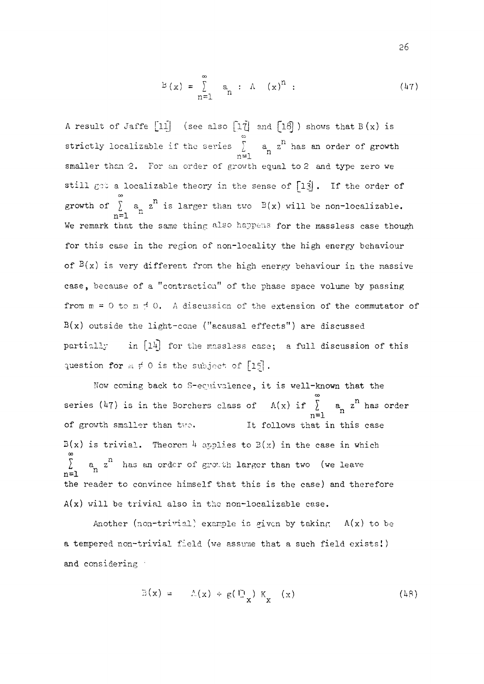$$
B(x) = \sum_{n=1}^{\infty} a_n : A(x)^n : \qquad (47)
$$

A result of Jaffe  $[11]$  (see also  $[1\overline{7}]$  and  $[1\overline{8}]$ ) shows that  $B(x)$  is **CO**   $\lambda$ ,  $a_n z$ smaller than 2. For an order of growth equal to 2 and type zero we still get a localizable theory in the sense of  $\lceil 13 \rceil$ . If the order of growth of  $\sum_{n=1}^{\infty} a_n z^n$  is larger than two  $B(x)$  will be non-localizable. ه<br>Cod  $\frac{1}{2}$  is larger than two  $\frac{1}{2}$  is larger than  $\frac{1}{2}$  will be non-localizable. ase in of  $B(x)$  is very different from the high energy behaviour in the massive case, because of a "contraction" of the phase space volume by passing from  $m = 0$  to  $m \neq 0$ . A discussion of the extension of the commutator of  $B(x)$  outside the light-cone ("ecausal effects") are discussed partially in [14] for the massless case; a full discussion of this question for  $m \neq 0$  is the subject of  $\lceil 15 \rceil$ .

Now coming back to S-equivalence, it is well-known that the question for *m r* **0** is the subject of **[15] .**   $\frac{m-1}{1+m}$  comellex than the  $\frac{m-1}{1+m}$ It follows that in this case  $B(x)$  is trivial. Theorem 4 applies to  $B(x)$  in the case in which  $\sum a_i$  a  $a_i$  has an order of growth larger than two. (we leave  $\frac{2}{\pi}$  is trivial. The case in the case is  $\frac{2}{\pi}$  in the case in the case in  $\frac{2}{\pi}$  in  $\frac{2}{\pi}$ n=1 <sup>11</sup><br>the reader to convince himself that this is the case) and therefore  $A(x)$  will be trivial also in the non-localizable case.

Another (non-trivial) example is given by taking  $A(x)$  to be a tempered non-trivial field (we assume that a such field exists!) and consequently

$$
\mathbb{B}(\mathbf{x}) = \Lambda(\mathbf{x}) + g(\mathbf{E}_{\mathbf{x}}) \mathbf{K}_{\mathbf{x}}(\mathbf{x}) \tag{48}
$$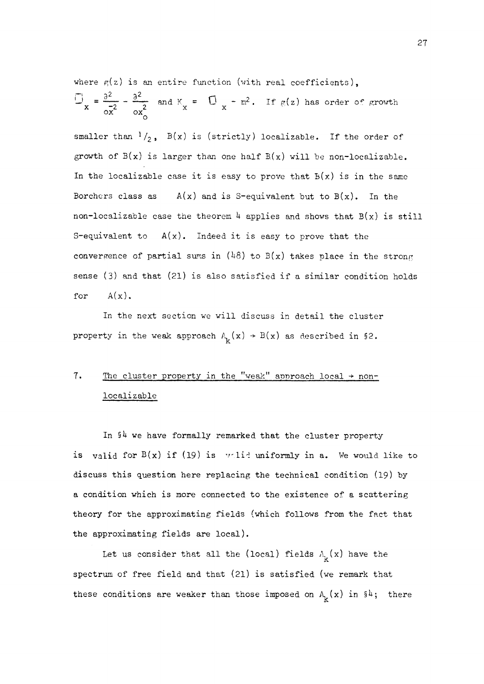where  $g(z)$  is an entire function (with real coefficients),  $U_x = \frac{U_x}{\sigma x^2} - \frac{0}{\sigma x^2}$  and  $K_x = U_x - m^2$ . If  $g(z)$  has order of growth

smaller than  $\frac{1}{2}$ ,  $B(x)$  is (strictly) localizable. If the order of growth of  $B(x)$  is larger than one half  $B(x)$  will be non-localizable. In the localizable case it is easy to prove that  $B(x)$  is in the same Borchers class as  $A(x)$  and is S-equivalent but to  $B(x)$ . In the non-localizable case the theorem  $\frac{1}{4}$  applies and shows that  $B(x)$  is still S-equivalent to  $A(x)$ . Indeed it is easy to prove that the convergence of partial sums in (48) to  $B(x)$  takes place in the strong sense (3) and that (21) is also satisfied if a similar condition holds for  $A(x)$ .

In the next section we will discuss in detail the cluster property in the weak approach  $A_k(x) \rightarrow B(x)$  as described in §2.

## 7. The cluster property in the "weak" approach local  $\rightarrow$  nonlocalizable

In  $94$  we have formally remarked that the cluster property is valid for  $B(x)$  if (19) is valid uniformly in a. We would like to discuss this question here replacing the technical condition (19) by a condition which is more connected to the existence of a scattering theory for the approximating fields (which follows from the fact that the approximating fields are local).

Let us consider that all the (local) fields  $A_{\mathbf{k}}(x)$  have the spectrum of free field and that (21) is satisfied (we remark that these conditions are weaker than those imposed on  $A_k(x)$  in  $i^{\mu}$ ; there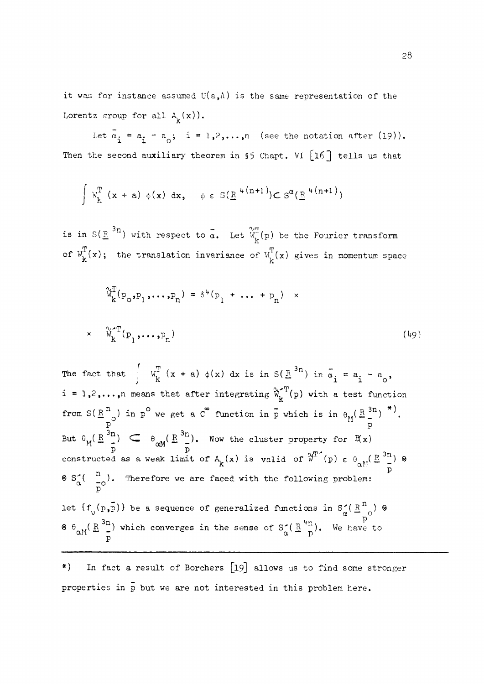it was for instance assumed  $U(a, \Lambda)$  is the same representation of the Lorentz group for all  $A_{\mathbf{k}}(\mathbf{x})$ ).

Let  $\bar{a}_i = a_i - a_o$ ; i = 1,2,...,n (see the notation after (19)). Then the second auxiliary theorem in §5 Chapt. VI [16<sup>]</sup> tells us that

$$
\int W_{k}^{T} (x + a) \phi(x) dx, \quad \phi \in S(\underline{R}^{4(n+1)}) \subset S^{\alpha}(\underline{R}^{4(n+1)})
$$

 $3n<sub>1</sub>$  with meaneat to  $\frac{1}{n}$ is in  $S(\frac{R}{\epsilon})$  ) with respect to  $\alpha$ . Let  $\alpha^{\kappa}(b)$  be the Fourier transform of  $W_k^T(x)$ ; the translation invariance of  $W_k^T(x)$  gives in momentum space

$$
\widetilde{W}_{k}^{T}(p_{o}, p_{1}, \dots, p_{n}) = \delta^{L}(p_{1} + \dots + p_{n}) \times \widetilde{W}_{k}^{T}(p_{1}, \dots, p_{n})
$$
\n
$$
(49)
$$

The fact that  $\int w_k^T (x + a) \phi(x) dx$  is in  $S(\mathbb{R}^{3n})$  in  $\overline{\alpha}_i = a_i - a_o$ ,  $i = 1, 2, \ldots, n$  means that after integrating  $\mathcal{W}_{k}^{T}(p)$  with a test function K. from  $S(K_{\alpha}^{\alpha})$  in p we get a C function in p which is in  $\theta_M(K_{\alpha}^{\alpha})$  . P **P**  But  $\theta_M^N(\frac{R}{n}^3 n)$   $\subset$   $\theta_{\alpha M}^N(\frac{R}{n}^3 n)$ . Now the cluster property for  $\mathbb{R}(\mathbf{x})$  $\frac{p}{\text{constant}}$  as a weak limit of  $A^r_k(x)$  is valid of  $\mathbb{W}^T$ <sup>(</sup>p)  $\epsilon$   $\theta_{\text{cM}}$ ( $\mathbb{E}^{3n}$ ) 8  $n \rightarrow m$  $\frac{1}{\alpha}$   $S^2(\begin{array}{cc} a & b \\ b & c \end{array})$ . Therefore we are faced with the following problem: let  $\{f_{v}(p,\bar{p})\}$  be a sequence of generalized functions in  $S_{\alpha} (R_{p}^{n})$   $\emptyset$  $\vartheta$   $\theta_{\alpha M} (\frac{R}{2})^3$  which converges in the sense of  $S^{\alpha}_{\alpha} (\frac{R}{n}^4 n)$ . We have to P

\*) In fact a result of Borchers **[19]** allows us to find some stronger properties in p but we are not interested in this problem here.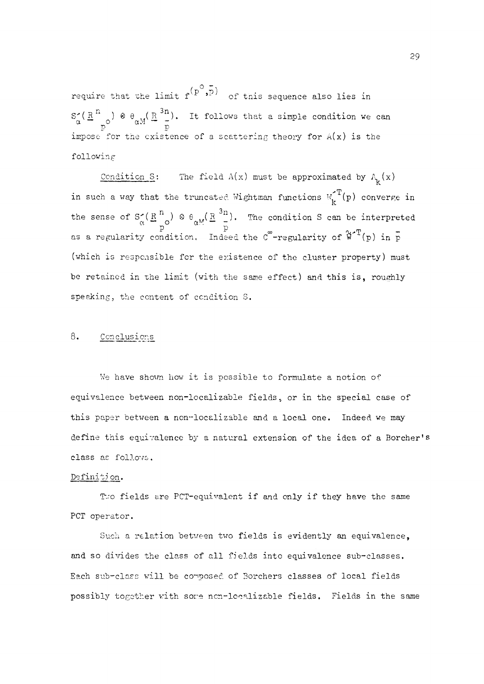require that the limit  $f^{(p^o,\bar{p})}$  of this sequence also lies in  $n \rightarrow$   $\alpha$   $\alpha$   $(n^{3n})$  $\alpha' = \alpha'$   $\alpha' = \alpha''$ . It follows that a simple condition we can  $\frac{1}{2}$  for the exist following

 $f$ ondi  $\begin{array}{c} \begin{array}{c} \text{...}\\ \text{...}\\ \text{...}\\ \text{...}\\ \end{array} \end{array}$ in such a way that the truncated Wightman functions  $W_k^T(p)$  converge in the sense of  $S_{\alpha}^{\bullet}(\underline{R}_{n}^{n}) \otimes \theta_{\alpha_{n}^{M}}(\underline{R}_{n}^{n}^{M}).$  The condition S can be interpreted as a regularity condition. Indeed the C -regularity of  $w^-(p)$  in p (which is responsible for the existence of the cluster property) must be retained in the limit (with the same effect) and this is, roughly speaking, the content of condition S.

#### 8• Conelusions

We have shown how it is possible to formulate a notion of equivalence between non-localizable fields, or in the special case of this paper between a non-localizable and a local one. Indeed we may define this equivalence by a natural extension of the idea of a Borcher's class as follows.

#### Definition.

Two fields are PCT-equivalent if and only if they have the same PCT operator.

Such a relation between two fields is evidently an equivalence, and so divides the class of all fields into equivalence sub-classes. Each sub-class will be composed of Borchers classes of local fields possibly together with sore ncn-lccalizable fields. Fields in the same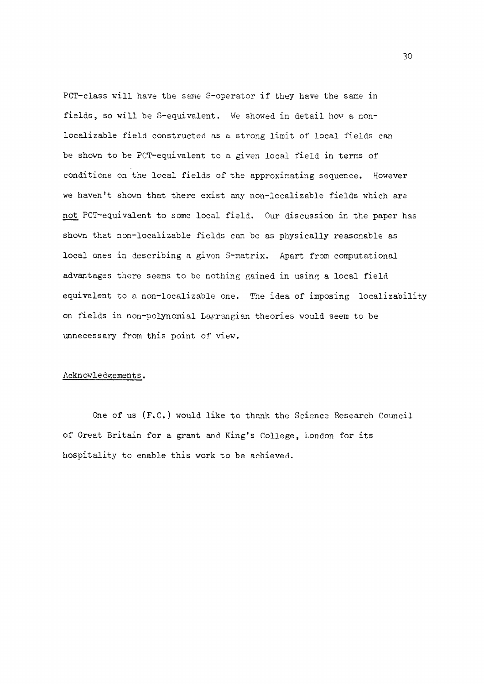PCT-class will have the same S-operator if they have the same in fields, so will be S-equivalent. We showed in detail how a nonlocalizable field constructed as a strong limit of local fields can be shown to be PCT-equivalent to a given local field in terms of conditions on the local fields of the approximating sequence. However we haven't shown that there exist any non-localizable fields which are not PCT-equivalent to some local field. Our discussion in the paper has shown that non-localizable fields can be as physically reasonable as local ones in describing a given S-matrix. Apart from computational advantages there seems to be nothing gained in using a local field equivalent to a non-localizable one. The idea of imposing localizability on fields in non-polynomial Lagrangian theories would seem to be unnecessary from this point of view.

#### Acknowledgements.

One of us (F.C.) would like to thank the Science Research Council of Great Britain for a grant and King's College, London for its hospitality to enable this work to be achieved.